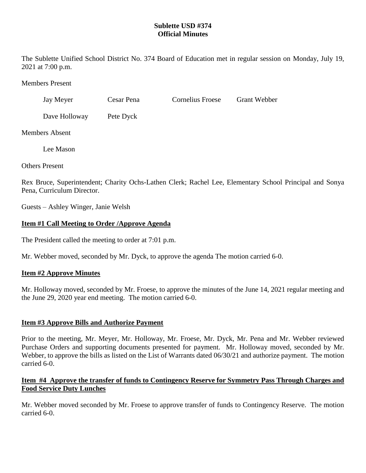# **Sublette USD #374 Official Minutes**

The Sublette Unified School District No. 374 Board of Education met in regular session on Monday, July 19, 2021 at 7:00 p.m.

Members Present

| Jay Meyer | Cesar Pena | <b>Cornelius Froese</b> | <b>Grant Webber</b> |
|-----------|------------|-------------------------|---------------------|
|           |            |                         |                     |

Dave Holloway Pete Dyck

Members Absent

Lee Mason

Others Present

Rex Bruce, Superintendent; Charity Ochs-Lathen Clerk; Rachel Lee, Elementary School Principal and Sonya Pena, Curriculum Director.

Guests – Ashley Winger, Janie Welsh

# **Item #1 Call Meeting to Order /Approve Agenda**

The President called the meeting to order at 7:01 p.m.

Mr. Webber moved, seconded by Mr. Dyck, to approve the agenda The motion carried 6-0.

# **Item #2 Approve Minutes**

Mr. Holloway moved, seconded by Mr. Froese, to approve the minutes of the June 14, 2021 regular meeting and the June 29, 2020 year end meeting. The motion carried 6-0.

# **Item #3 Approve Bills and Authorize Payment**

Prior to the meeting, Mr. Meyer, Mr. Holloway, Mr. Froese, Mr. Dyck, Mr. Pena and Mr. Webber reviewed Purchase Orders and supporting documents presented for payment. Mr. Holloway moved, seconded by Mr. Webber, to approve the bills as listed on the List of Warrants dated 06/30/21 and authorize payment. The motion carried 6-0.

# **Item #4 Approve the transfer of funds to Contingency Reserve for Symmetry Pass Through Charges and Food Service Duty Lunches**

Mr. Webber moved seconded by Mr. Froese to approve transfer of funds to Contingency Reserve. The motion carried 6-0.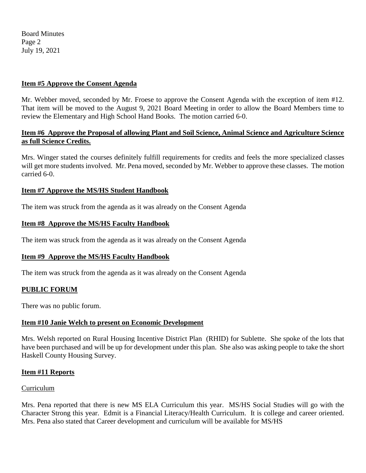Board Minutes Page 2 July 19, 2021

### **Item #5 Approve the Consent Agenda**

Mr. Webber moved, seconded by Mr. Froese to approve the Consent Agenda with the exception of item #12. That item will be moved to the August 9, 2021 Board Meeting in order to allow the Board Members time to review the Elementary and High School Hand Books. The motion carried 6-0.

### **Item #6 Approve the Proposal of allowing Plant and Soil Science, Animal Science and Agriculture Science as full Science Credits.**

Mrs. Winger stated the courses definitely fulfill requirements for credits and feels the more specialized classes will get more students involved. Mr. Pena moved, seconded by Mr. Webber to approve these classes. The motion carried 6-0.

### **Item #7 Approve the MS/HS Student Handbook**

The item was struck from the agenda as it was already on the Consent Agenda

### **Item #8 Approve the MS/HS Faculty Handbook**

The item was struck from the agenda as it was already on the Consent Agenda

# **Item #9 Approve the MS/HS Faculty Handbook**

The item was struck from the agenda as it was already on the Consent Agenda

#### **PUBLIC FORUM**

There was no public forum.

# **Item #10 Janie Welch to present on Economic Development**

Mrs. Welsh reported on Rural Housing Incentive District Plan (RHID) for Sublette. She spoke of the lots that have been purchased and will be up for development under this plan. She also was asking people to take the short Haskell County Housing Survey.

#### **Item #11 Reports**

#### Curriculum

Mrs. Pena reported that there is new MS ELA Curriculum this year. MS/HS Social Studies will go with the Character Strong this year. Edmit is a Financial Literacy/Health Curriculum. It is college and career oriented. Mrs. Pena also stated that Career development and curriculum will be available for MS/HS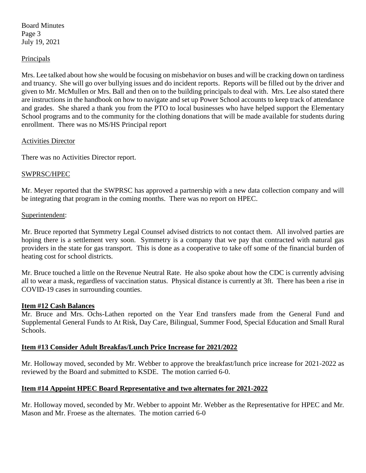Board Minutes Page 3 July 19, 2021

### **Principals**

Mrs. Lee talked about how she would be focusing on misbehavior on buses and will be cracking down on tardiness and truancy. She will go over bullying issues and do incident reports. Reports will be filled out by the driver and given to Mr. McMullen or Mrs. Ball and then on to the building principals to deal with. Mrs. Lee also stated there are instructions in the handbook on how to navigate and set up Power School accounts to keep track of attendance and grades. She shared a thank you from the PTO to local businesses who have helped support the Elementary School programs and to the community for the clothing donations that will be made available for students during enrollment. There was no MS/HS Principal report

### Activities Director

There was no Activities Director report.

### SWPRSC/HPEC

Mr. Meyer reported that the SWPRSC has approved a partnership with a new data collection company and will be integrating that program in the coming months. There was no report on HPEC.

### Superintendent:

Mr. Bruce reported that Symmetry Legal Counsel advised districts to not contact them. All involved parties are hoping there is a settlement very soon. Symmetry is a company that we pay that contracted with natural gas providers in the state for gas transport. This is done as a cooperative to take off some of the financial burden of heating cost for school districts.

Mr. Bruce touched a little on the Revenue Neutral Rate. He also spoke about how the CDC is currently advising all to wear a mask, regardless of vaccination status. Physical distance is currently at 3ft. There has been a rise in COVID-19 cases in surrounding counties.

#### **Item #12 Cash Balances**

Mr. Bruce and Mrs. Ochs-Lathen reported on the Year End transfers made from the General Fund and Supplemental General Funds to At Risk, Day Care, Bilingual, Summer Food, Special Education and Small Rural Schools.

# **Item #13 Consider Adult Breakfas/Lunch Price Increase for 2021/2022**

Mr. Holloway moved, seconded by Mr. Webber to approve the breakfast/lunch price increase for 2021-2022 as reviewed by the Board and submitted to KSDE. The motion carried 6-0.

# **Item #14 Appoint HPEC Board Representative and two alternates for 2021-2022**

Mr. Holloway moved, seconded by Mr. Webber to appoint Mr. Webber as the Representative for HPEC and Mr. Mason and Mr. Froese as the alternates. The motion carried 6-0